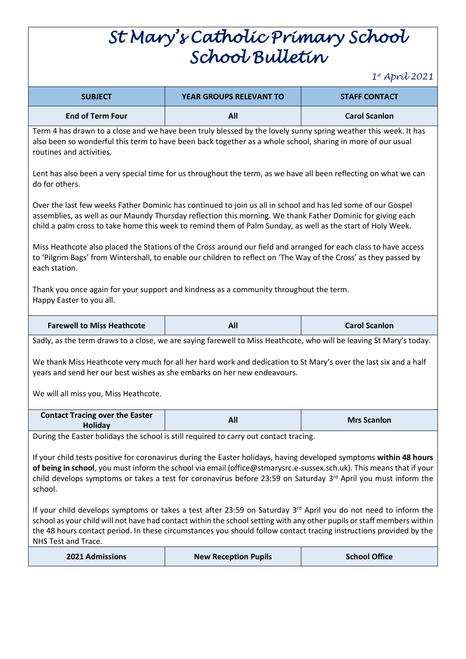## *St Mary's Catholic Primary School School Bulletin*

*1 st April 2021*

|                                                                                                                                                                                                                                                                                                                                                                                                                                                                                                                                                                                     |                                                                                                                     | $\cdots$ $\cdots$ $\cdots$ |  |  |
|-------------------------------------------------------------------------------------------------------------------------------------------------------------------------------------------------------------------------------------------------------------------------------------------------------------------------------------------------------------------------------------------------------------------------------------------------------------------------------------------------------------------------------------------------------------------------------------|---------------------------------------------------------------------------------------------------------------------|----------------------------|--|--|
| <b>SUBJECT</b>                                                                                                                                                                                                                                                                                                                                                                                                                                                                                                                                                                      | <b>YEAR GROUPS RELEVANT TO</b>                                                                                      | <b>STAFF CONTACT</b>       |  |  |
| <b>End of Term Four</b>                                                                                                                                                                                                                                                                                                                                                                                                                                                                                                                                                             | All                                                                                                                 | <b>Carol Scanlon</b>       |  |  |
| Term 4 has drawn to a close and we have been truly blessed by the lovely sunny spring weather this week. It has<br>also been so wonderful this term to have been back together as a whole school, sharing in more of our usual<br>routines and activities.                                                                                                                                                                                                                                                                                                                          |                                                                                                                     |                            |  |  |
| Lent has also been a very special time for us throughout the term, as we have all been reflecting on what we can<br>do for others.                                                                                                                                                                                                                                                                                                                                                                                                                                                  |                                                                                                                     |                            |  |  |
| Over the last few weeks Father Dominic has continued to join us all in school and has led some of our Gospel<br>assemblies, as well as our Maundy Thursday reflection this morning. We thank Father Dominic for giving each<br>child a palm cross to take home this week to remind them of Palm Sunday, as well as the start of Holy Week.                                                                                                                                                                                                                                          |                                                                                                                     |                            |  |  |
| Miss Heathcote also placed the Stations of the Cross around our field and arranged for each class to have access<br>to 'Pilgrim Bags' from Wintershall, to enable our children to reflect on 'The Way of the Cross' as they passed by<br>each station.                                                                                                                                                                                                                                                                                                                              |                                                                                                                     |                            |  |  |
| Thank you once again for your support and kindness as a community throughout the term.<br>Happy Easter to you all.                                                                                                                                                                                                                                                                                                                                                                                                                                                                  |                                                                                                                     |                            |  |  |
| <b>Farewell to Miss Heathcote</b>                                                                                                                                                                                                                                                                                                                                                                                                                                                                                                                                                   | All                                                                                                                 | <b>Carol Scanlon</b>       |  |  |
|                                                                                                                                                                                                                                                                                                                                                                                                                                                                                                                                                                                     | Sadly, as the term draws to a close, we are saying farewell to Miss Heathcote, who will be leaving St Mary's today. |                            |  |  |
|                                                                                                                                                                                                                                                                                                                                                                                                                                                                                                                                                                                     | We thank Miss Heathcote very much for all her hard work and dedication to St Mary's over the last six and a half    |                            |  |  |
|                                                                                                                                                                                                                                                                                                                                                                                                                                                                                                                                                                                     | years and send her our best wishes as she embarks on her new endeavours.                                            |                            |  |  |
| We will all miss you, Miss Heathcote.                                                                                                                                                                                                                                                                                                                                                                                                                                                                                                                                               |                                                                                                                     |                            |  |  |
| <b>Contact Tracing over the Easter</b>                                                                                                                                                                                                                                                                                                                                                                                                                                                                                                                                              | All                                                                                                                 | <b>Mrs Scanlon</b>         |  |  |
| <b>Holiday</b>                                                                                                                                                                                                                                                                                                                                                                                                                                                                                                                                                                      |                                                                                                                     |                            |  |  |
| During the Easter holidays the school is still required to carry out contact tracing.<br>If your child tests positive for coronavirus during the Easter holidays, having developed symptoms within 48 hours<br>of being in school, you must inform the school via email (office@stmarysrc.e-sussex.sch.uk). This means that if your<br>child develops symptoms or takes a test for coronavirus before 23:59 on Saturday 3rd April you must inform the<br>school.<br>If your child develops symptoms or takes a test after 23:59 on Saturday 3rd April you do not need to inform the |                                                                                                                     |                            |  |  |
| school as your child will not have had contact within the school setting with any other pupils or staff members within<br>the 48 hours contact period. In these circumstances you should follow contact tracing instructions provided by the<br>NHS Test and Trace.                                                                                                                                                                                                                                                                                                                 |                                                                                                                     |                            |  |  |
| 2021 Admissions                                                                                                                                                                                                                                                                                                                                                                                                                                                                                                                                                                     | <b>New Reception Pupils</b>                                                                                         | <b>School Office</b>       |  |  |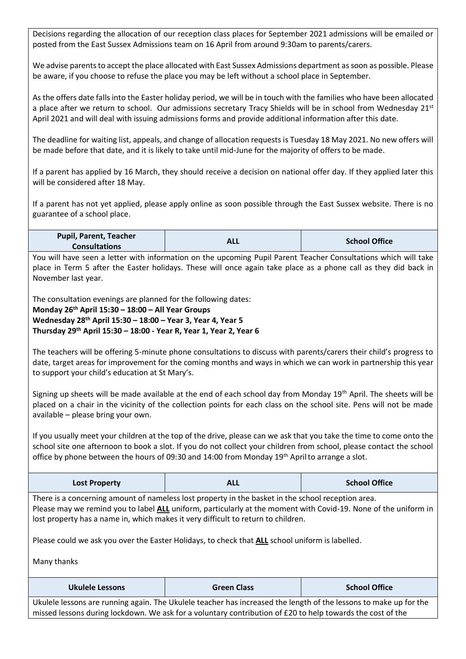Decisions regarding the allocation of our reception class places for September 2021 admissions will be emailed or posted from the East Sussex Admissions team on 16 April from around 9:30am to parents/carers.

We advise parents to accept the place allocated with East Sussex Admissions department assoon as possible. Please be aware, if you choose to refuse the place you may be left without a school place in September.

As the offers date falls into the Easter holiday period, we will be in touch with the families who have been allocated a place after we return to school. Our admissions secretary Tracy Shields will be in school from Wednesday 21<sup>st</sup> April 2021 and will deal with issuing admissions forms and provide additional information after this date.

The deadline for waiting list, appeals, and change of allocation requests is Tuesday 18 May 2021. No new offers will be made before that date, and it is likely to take until mid-June for the majority of offers to be made.

If a parent has applied by 16 March, they should receive a decision on national offer day. If they applied later this will be considered after 18 May.

If a parent has not yet applied, please apply online as soon possible through the East Sussex website. There is no guarantee of a school place.

| <b>Pupil, Parent, Teacher</b> | ALL | <b>School Office</b> |
|-------------------------------|-----|----------------------|
| <b>Consultations</b>          |     |                      |

You will have seen a letter with information on the upcoming Pupil Parent Teacher Consultations which will take place in Term 5 after the Easter holidays. These will once again take place as a phone call as they did back in November last year.

The consultation evenings are planned for the following dates:

**Monday 26th April 15:30 – 18:00 – All Year Groups Wednesday 28th April 15:30 – 18:00 – Year 3, Year 4, Year 5 Thursday 29th April 15:30 – 18:00 - Year R, Year 1, Year 2, Year 6** 

The teachers will be offering 5-minute phone consultations to discuss with parents/carers their child's progress to date, target areas for improvement for the coming months and ways in which we can work in partnership this year to support your child's education at St Mary's.

Signing up sheets will be made available at the end of each school day from Monday 19th April. The sheets will be placed on a chair in the vicinity of the collection points for each class on the school site. Pens will not be made available – please bring your own.

If you usually meet your children at the top of the drive, please can we ask that you take the time to come onto the school site one afternoon to book a slot. If you do not collect your children from school, please contact the school office by phone between the hours of 09:30 and 14:00 from Monday 19th Aprilto arrange a slot.

| Lost Property | <b>ALL</b> | <b>School Office</b> |
|---------------|------------|----------------------|
|---------------|------------|----------------------|

There is a concerning amount of nameless lost property in the basket in the school reception area. Please may we remind you to label **ALL** uniform, particularly at the moment with Covid-19. None of the uniform in lost property has a name in, which makes it very difficult to return to children.

Please could we ask you over the Easter Holidays, to check that **ALL** school uniform is labelled.

Many thanks

| Ukulele Lessons | <b>Green Class</b>                                                                                                | <b>School Office</b> |
|-----------------|-------------------------------------------------------------------------------------------------------------------|----------------------|
|                 | Jkulele lessons are running again. The Ukulele teacher has increased the length of the lessons to make up for the |                      |

Ukulele lessons are running again. The Ukulele teacher has increased the length of the lessons to make up for the missed lessons during lockdown. We ask for a voluntary contribution of £20 to help towards the cost of the